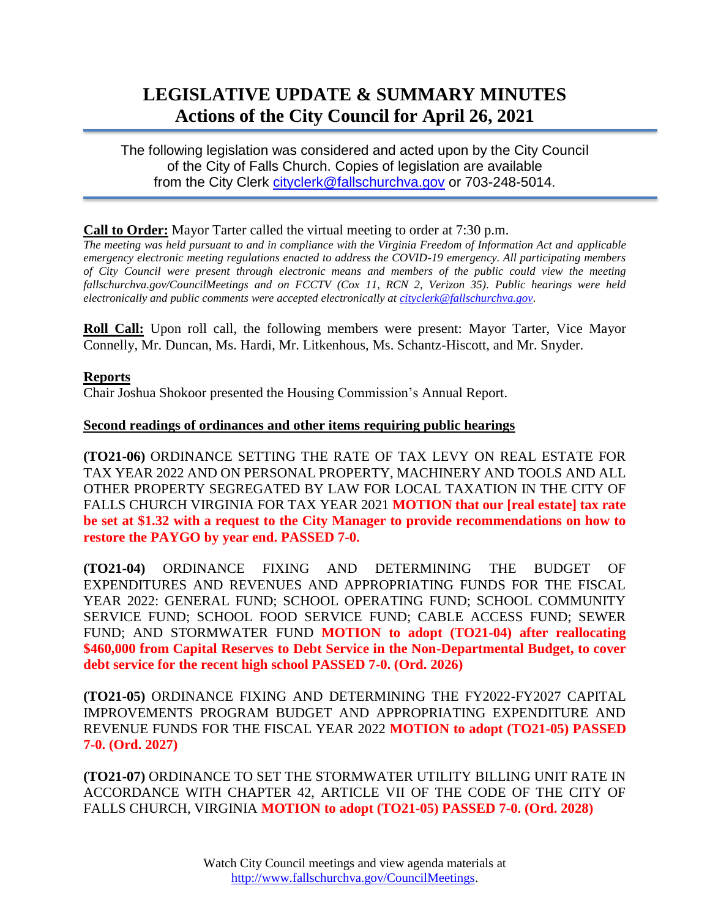# **LEGISLATIVE UPDATE & SUMMARY MINUTES Actions of the City Council for April 26, 2021**

The following legislation was considered and acted upon by the City Council of the City of Falls Church. Copies of legislation are available from the City Clerk [cityclerk@fallschurchva.gov](mailto:cityclerk@fallschurchva.gov) or 703-248-5014.

## **Call to Order:** Mayor Tarter called the virtual meeting to order at 7:30 p.m.

*The meeting was held pursuant to and in compliance with the Virginia Freedom of Information Act and applicable emergency electronic meeting regulations enacted to address the COVID-19 emergency. All participating members of City Council were present through electronic means and members of the public could view the meeting fallschurchva.gov/CouncilMeetings and on FCCTV (Cox 11, RCN 2, Verizon 35). Public hearings were held electronically and public comments were accepted electronically a[t cityclerk@fallschurchva.gov.](mailto:cityclerk@fallschurchva.gov)*

**Roll Call:** Upon roll call, the following members were present: Mayor Tarter, Vice Mayor Connelly, Mr. Duncan, Ms. Hardi, Mr. Litkenhous, Ms. Schantz-Hiscott, and Mr. Snyder.

# **Reports**

Chair Joshua Shokoor presented the Housing Commission's Annual Report.

## **Second readings of ordinances and other items requiring public hearings**

**(TO21-06)** ORDINANCE SETTING THE RATE OF TAX LEVY ON REAL ESTATE FOR TAX YEAR 2022 AND ON PERSONAL PROPERTY, MACHINERY AND TOOLS AND ALL OTHER PROPERTY SEGREGATED BY LAW FOR LOCAL TAXATION IN THE CITY OF FALLS CHURCH VIRGINIA FOR TAX YEAR 2021 **MOTION that our [real estate] tax rate be set at \$1.32 with a request to the City Manager to provide recommendations on how to restore the PAYGO by year end. PASSED 7-0.**

**(TO21-04)** ORDINANCE FIXING AND DETERMINING THE BUDGET OF EXPENDITURES AND REVENUES AND APPROPRIATING FUNDS FOR THE FISCAL YEAR 2022: GENERAL FUND; SCHOOL OPERATING FUND; SCHOOL COMMUNITY SERVICE FUND; SCHOOL FOOD SERVICE FUND; CABLE ACCESS FUND; SEWER FUND; AND STORMWATER FUND **MOTION to adopt (TO21-04) after reallocating \$460,000 from Capital Reserves to Debt Service in the Non-Departmental Budget, to cover debt service for the recent high school PASSED 7-0. (Ord. 2026)**

**(TO21-05)** ORDINANCE FIXING AND DETERMINING THE FY2022-FY2027 CAPITAL IMPROVEMENTS PROGRAM BUDGET AND APPROPRIATING EXPENDITURE AND REVENUE FUNDS FOR THE FISCAL YEAR 2022 **MOTION to adopt (TO21-05) PASSED 7-0. (Ord. 2027)**

**(TO21-07)** ORDINANCE TO SET THE STORMWATER UTILITY BILLING UNIT RATE IN ACCORDANCE WITH CHAPTER 42, ARTICLE VII OF THE CODE OF THE CITY OF FALLS CHURCH, VIRGINIA **MOTION to adopt (TO21-05) PASSED 7-0. (Ord. 2028)**